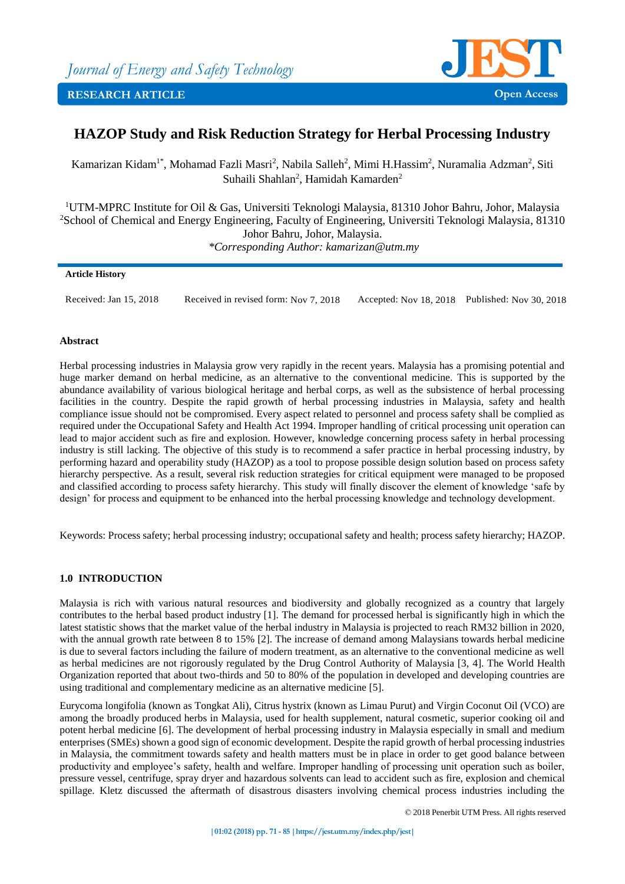

# **HAZOP Study and Risk Reduction Strategy for Herbal Processing Industry**

Kamarizan Kidam<sup>1\*</sup>, Mohamad Fazli Masri<sup>2</sup>, Nabila Salleh<sup>2</sup>, Mimi H.Hassim<sup>2</sup>, Nuramalia Adzman<sup>2</sup>, Siti Suhaili Shahlan<sup>2</sup>, Hamidah Kamarden<sup>2</sup>

<sup>1</sup>UTM-MPRC Institute for Oil & Gas, Universiti Teknologi Malaysia, 81310 Johor Bahru, Johor, Malaysia <sup>2</sup>School of Chemical and Energy Engineering, Faculty of Engineering, Universiti Teknologi Malaysia, 81310 Johor Bahru, Johor, Malaysia. *\*Corresponding Author: kamarizan@utm.my*

### **Article History**

Received: Jan 15, 2018 Received in revised form: Nov 7, 2018 Accepted: Nov 18, 2018 Published: Nov 30, 2018

### **Abstract**

Herbal processing industries in Malaysia grow very rapidly in the recent years. Malaysia has a promising potential and huge marker demand on herbal medicine, as an alternative to the conventional medicine. This is supported by the abundance availability of various biological heritage and herbal corps, as well as the subsistence of herbal processing facilities in the country. Despite the rapid growth of herbal processing industries in Malaysia, safety and health compliance issue should not be compromised. Every aspect related to personnel and process safety shall be complied as required under the Occupational Safety and Health Act 1994. Improper handling of critical processing unit operation can lead to major accident such as fire and explosion. However, knowledge concerning process safety in herbal processing industry is still lacking. The objective of this study is to recommend a safer practice in herbal processing industry, by performing hazard and operability study (HAZOP) as a tool to propose possible design solution based on process safety hierarchy perspective. As a result, several risk reduction strategies for critical equipment were managed to be proposed and classified according to process safety hierarchy. This study will finally discover the element of knowledge 'safe by design' for process and equipment to be enhanced into the herbal processing knowledge and technology development.

Keywords: Process safety; herbal processing industry; occupational safety and health; process safety hierarchy; HAZOP.

## **1.0 INTRODUCTION**

Malaysia is rich with various natural resources and biodiversity and globally recognized as a country that largely contributes to the herbal based product industry [1]. The demand for processed herbal is significantly high in which the latest statistic shows that the market value of the herbal industry in Malaysia is projected to reach RM32 billion in 2020, with the annual growth rate between 8 to 15% [2]. The increase of demand among Malaysians towards herbal medicine is due to several factors including the failure of modern treatment, as an alternative to the conventional medicine as well as herbal medicines are not rigorously regulated by the Drug Control Authority of Malaysia [3, 4]. The World Health Organization reported that about two-thirds and 50 to 80% of the population in developed and developing countries are using traditional and complementary medicine as an alternative medicine [5].

Eurycoma longifolia (known as Tongkat Ali), Citrus hystrix (known as Limau Purut) and Virgin Coconut Oil (VCO) are among the broadly produced herbs in Malaysia, used for health supplement, natural cosmetic, superior cooking oil and potent herbal medicine [6]. The development of herbal processing industry in Malaysia especially in small and medium enterprises (SMEs) shown a good sign of economic development. Despite the rapid growth of herbal processing industries in Malaysia, the commitment towards safety and health matters must be in place in order to get good balance between productivity and employee's safety, health and welfare. Improper handling of processing unit operation such as boiler, pressure vessel, centrifuge, spray dryer and hazardous solvents can lead to accident such as fire, explosion and chemical spillage. Kletz discussed the aftermath of disastrous disasters involving chemical process industries including the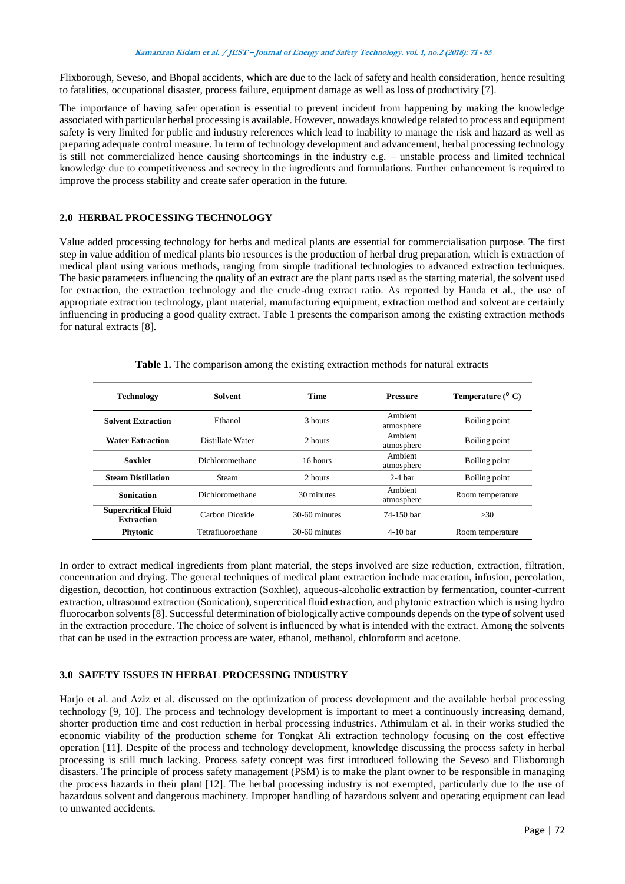Flixborough, Seveso, and Bhopal accidents, which are due to the lack of safety and health consideration, hence resulting to fatalities, occupational disaster, process failure, equipment damage as well as loss of productivity [7].

The importance of having safer operation is essential to prevent incident from happening by making the knowledge associated with particular herbal processing is available. However, nowadays knowledge related to process and equipment safety is very limited for public and industry references which lead to inability to manage the risk and hazard as well as preparing adequate control measure. In term of technology development and advancement, herbal processing technology is still not commercialized hence causing shortcomings in the industry e.g. – unstable process and limited technical knowledge due to competitiveness and secrecy in the ingredients and formulations. Further enhancement is required to improve the process stability and create safer operation in the future.

### **2.0 HERBAL PROCESSING TECHNOLOGY**

Value added processing technology for herbs and medical plants are essential for commercialisation purpose. The first step in value addition of medical plants bio resources is the production of herbal drug preparation, which is extraction of medical plant using various methods, ranging from simple traditional technologies to advanced extraction techniques. The basic parameters influencing the quality of an extract are the plant parts used as the starting material, the solvent used for extraction, the extraction technology and the crude-drug extract ratio. As reported by Handa et al., the use of appropriate extraction technology, plant material, manufacturing equipment, extraction method and solvent are certainly influencing in producing a good quality extract. Table 1 presents the comparison among the existing extraction methods for natural extracts [8].

| <b>Technology</b>                               | <b>Solvent</b>    |               | <b>Pressure</b>       | Temperature $(°C)$ |
|-------------------------------------------------|-------------------|---------------|-----------------------|--------------------|
| <b>Solvent Extraction</b>                       | Ethanol           | 3 hours       | Ambient<br>atmosphere | Boiling point      |
| <b>Water Extraction</b>                         | Distillate Water  | 2 hours       | Ambient<br>atmosphere | Boiling point      |
| <b>Soxhlet</b>                                  | Dichloromethane   | 16 hours      | Ambient<br>atmosphere | Boiling point      |
| <b>Steam Distillation</b>                       | Steam             | 2 hours       | $2-4$ bar             | Boiling point      |
| <b>Sonication</b>                               | Dichloromethane   | 30 minutes    | Ambient<br>atmosphere | Room temperature   |
| <b>Supercritical Fluid</b><br><b>Extraction</b> | Carbon Dioxide    | 30-60 minutes | 74-150 bar            | >30                |
| Phytonic                                        | Tetrafluoroethane | 30-60 minutes | $4-10$ bar            | Room temperature   |

**Table 1.** The comparison among the existing extraction methods for natural extracts

In order to extract medical ingredients from plant material, the steps involved are size reduction, extraction, filtration, concentration and drying. The general techniques of medical plant extraction include maceration, infusion, percolation, digestion, decoction, hot continuous extraction (Soxhlet), aqueous-alcoholic extraction by fermentation, counter-current extraction, ultrasound extraction (Sonication), supercritical fluid extraction, and phytonic extraction which is using hydro fluorocarbon solvents [8]. Successful determination of biologically active compounds depends on the type of solvent used in the extraction procedure. The choice of solvent is influenced by what is intended with the extract. Among the solvents that can be used in the extraction process are water, ethanol, methanol, chloroform and acetone.

## **3.0 SAFETY ISSUES IN HERBAL PROCESSING INDUSTRY**

Harjo et al. and Aziz et al. discussed on the optimization of process development and the available herbal processing technology [9, 10]. The process and technology development is important to meet a continuously increasing demand, shorter production time and cost reduction in herbal processing industries. Athimulam et al. in their works studied the economic viability of the production scheme for Tongkat Ali extraction technology focusing on the cost effective operation [11]. Despite of the process and technology development, knowledge discussing the process safety in herbal processing is still much lacking. Process safety concept was first introduced following the Seveso and Flixborough disasters. The principle of process safety management (PSM) is to make the plant owner to be responsible in managing the process hazards in their plant [12]. The herbal processing industry is not exempted, particularly due to the use of hazardous solvent and dangerous machinery. Improper handling of hazardous solvent and operating equipment can lead to unwanted accidents.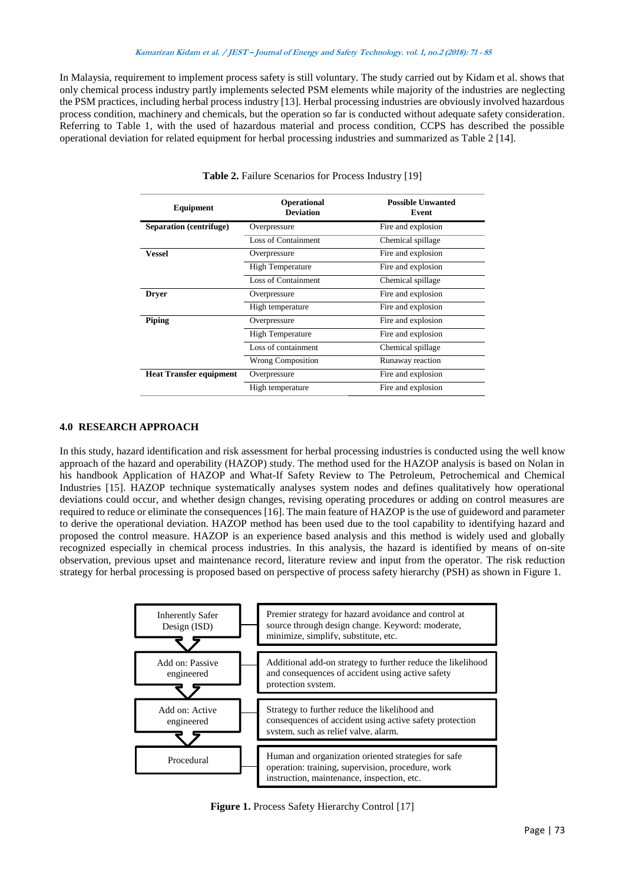In Malaysia, requirement to implement process safety is still voluntary. The study carried out by Kidam et al. shows that only chemical process industry partly implements selected PSM elements while majority of the industries are neglecting the PSM practices, including herbal process industry [13]. Herbal processing industries are obviously involved hazardous process condition, machinery and chemicals, but the operation so far is conducted without adequate safety consideration. Referring to Table 1, with the used of hazardous material and process condition, CCPS has described the possible operational deviation for related equipment for herbal processing industries and summarized as Table 2 [14].

| Equipment                      | <b>Operational</b><br><b>Deviation</b> | <b>Possible Unwanted</b><br>Event |
|--------------------------------|----------------------------------------|-----------------------------------|
| Separation (centrifuge)        | Overpressure                           | Fire and explosion                |
|                                | Loss of Containment                    | Chemical spillage                 |
| <b>Vessel</b>                  | Overpressure                           | Fire and explosion                |
|                                | <b>High Temperature</b>                | Fire and explosion                |
|                                | <b>Loss of Containment</b>             | Chemical spillage                 |
| <b>Dryer</b>                   | Overpressure                           | Fire and explosion                |
|                                | High temperature                       | Fire and explosion                |
| <b>Piping</b>                  | Overpressure                           | Fire and explosion                |
|                                | <b>High Temperature</b>                | Fire and explosion                |
|                                | Loss of containment                    | Chemical spillage                 |
|                                | <b>Wrong Composition</b>               | Runaway reaction                  |
| <b>Heat Transfer equipment</b> | Overpressure                           | Fire and explosion                |
|                                | High temperature                       | Fire and explosion                |

#### **Table 2.** Failure Scenarios for Process Industry [19]

### **4.0 RESEARCH APPROACH**

In this study, hazard identification and risk assessment for herbal processing industries is conducted using the well know approach of the hazard and operability (HAZOP) study. The method used for the HAZOP analysis is based on Nolan in his handbook Application of HAZOP and What-If Safety Review to The Petroleum, Petrochemical and Chemical Industries [15]. HAZOP technique systematically analyses system nodes and defines qualitatively how operational deviations could occur, and whether design changes, revising operating procedures or adding on control measures are required to reduce or eliminate the consequences [16]. The main feature of HAZOP is the use of guideword and parameter to derive the operational deviation. HAZOP method has been used due to the tool capability to identifying hazard and proposed the control measure. HAZOP is an experience based analysis and this method is widely used and globally recognized especially in chemical process industries. In this analysis, the hazard is identified by means of on-site observation, previous upset and maintenance record, literature review and input from the operator. The risk reduction strategy for herbal processing is proposed based on perspective of process safety hierarchy (PSH) as shown in Figure 1.

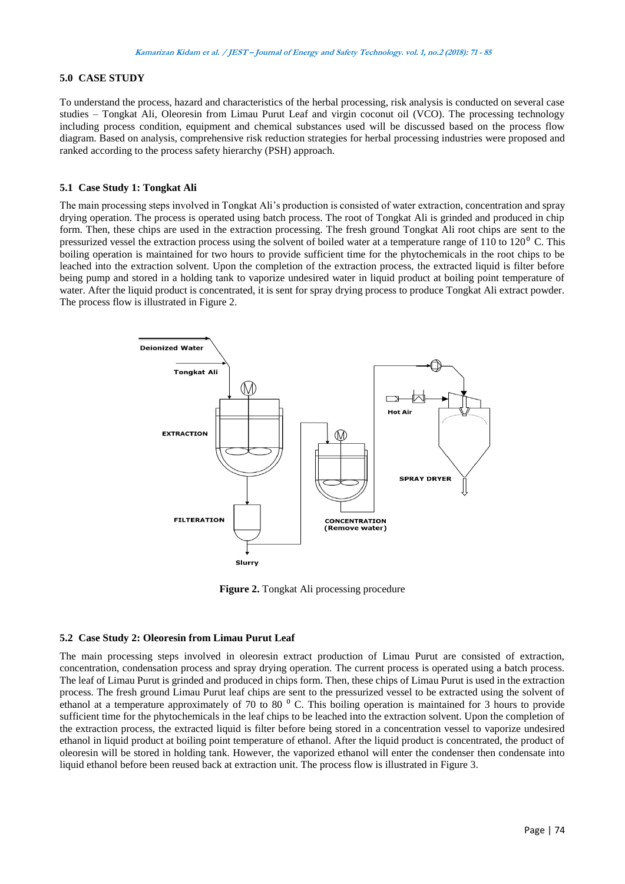### **5.0 CASE STUDY**

To understand the process, hazard and characteristics of the herbal processing, risk analysis is conducted on several case studies – Tongkat Ali, Oleoresin from Limau Purut Leaf and virgin coconut oil (VCO). The processing technology including process condition, equipment and chemical substances used will be discussed based on the process flow diagram. Based on analysis, comprehensive risk reduction strategies for herbal processing industries were proposed and ranked according to the process safety hierarchy (PSH) approach.

#### **5.1 Case Study 1: Tongkat Ali**

The main processing steps involved in Tongkat Ali's production is consisted of water extraction, concentration and spray drying operation. The process is operated using batch process. The root of Tongkat Ali is grinded and produced in chip form. Then, these chips are used in the extraction processing. The fresh ground Tongkat Ali root chips are sent to the pressurized vessel the extraction process using the solvent of boiled water at a temperature range of  $110$  to  $120<sup>o</sup>$  C. This boiling operation is maintained for two hours to provide sufficient time for the phytochemicals in the root chips to be leached into the extraction solvent. Upon the completion of the extraction process, the extracted liquid is filter before being pump and stored in a holding tank to vaporize undesired water in liquid product at boiling point temperature of water. After the liquid product is concentrated, it is sent for spray drying process to produce Tongkat Ali extract powder. The process flow is illustrated in Figure 2.



**Figure 2.** Tongkat Ali processing procedure

### **5.2 Case Study 2: Oleoresin from Limau Purut Leaf**

The main processing steps involved in oleoresin extract production of Limau Purut are consisted of extraction, concentration, condensation process and spray drying operation. The current process is operated using a batch process. The leaf of Limau Purut is grinded and produced in chips form. Then, these chips of Limau Purut is used in the extraction process. The fresh ground Limau Purut leaf chips are sent to the pressurized vessel to be extracted using the solvent of ethanol at a temperature approximately of 70 to 80 $^{\circ}$  C. This boiling operation is maintained for 3 hours to provide sufficient time for the phytochemicals in the leaf chips to be leached into the extraction solvent. Upon the completion of the extraction process, the extracted liquid is filter before being stored in a concentration vessel to vaporize undesired ethanol in liquid product at boiling point temperature of ethanol. After the liquid product is concentrated, the product of oleoresin will be stored in holding tank. However, the vaporized ethanol will enter the condenser then condensate into liquid ethanol before been reused back at extraction unit. The process flow is illustrated in Figure 3.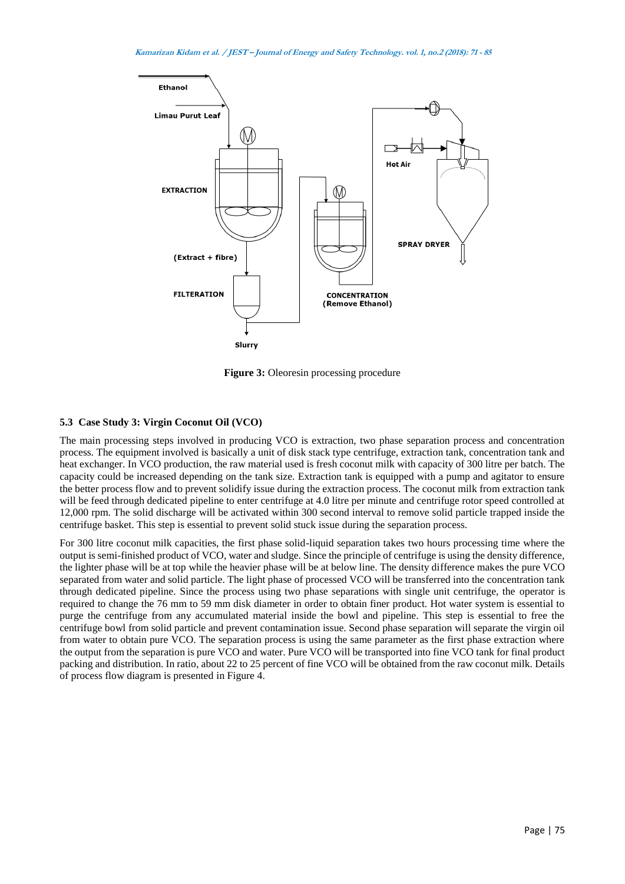

**Figure 3:** Oleoresin processing procedure

## **5.3 Case Study 3: Virgin Coconut Oil (VCO)**

The main processing steps involved in producing VCO is extraction, two phase separation process and concentration process. The equipment involved is basically a unit of disk stack type centrifuge, extraction tank, concentration tank and heat exchanger. In VCO production, the raw material used is fresh coconut milk with capacity of 300 litre per batch. The capacity could be increased depending on the tank size. Extraction tank is equipped with a pump and agitator to ensure the better process flow and to prevent solidify issue during the extraction process. The coconut milk from extraction tank will be feed through dedicated pipeline to enter centrifuge at 4.0 litre per minute and centrifuge rotor speed controlled at 12,000 rpm. The solid discharge will be activated within 300 second interval to remove solid particle trapped inside the centrifuge basket. This step is essential to prevent solid stuck issue during the separation process.

For 300 litre coconut milk capacities, the first phase solid-liquid separation takes two hours processing time where the output is semi-finished product of VCO, water and sludge. Since the principle of centrifuge is using the density difference, the lighter phase will be at top while the heavier phase will be at below line. The density difference makes the pure VCO separated from water and solid particle. The light phase of processed VCO will be transferred into the concentration tank through dedicated pipeline. Since the process using two phase separations with single unit centrifuge, the operator is required to change the 76 mm to 59 mm disk diameter in order to obtain finer product. Hot water system is essential to purge the centrifuge from any accumulated material inside the bowl and pipeline. This step is essential to free the centrifuge bowl from solid particle and prevent contamination issue. Second phase separation will separate the virgin oil from water to obtain pure VCO. The separation process is using the same parameter as the first phase extraction where the output from the separation is pure VCO and water. Pure VCO will be transported into fine VCO tank for final product packing and distribution. In ratio, about 22 to 25 percent of fine VCO will be obtained from the raw coconut milk. Details of process flow diagram is presented in Figure 4.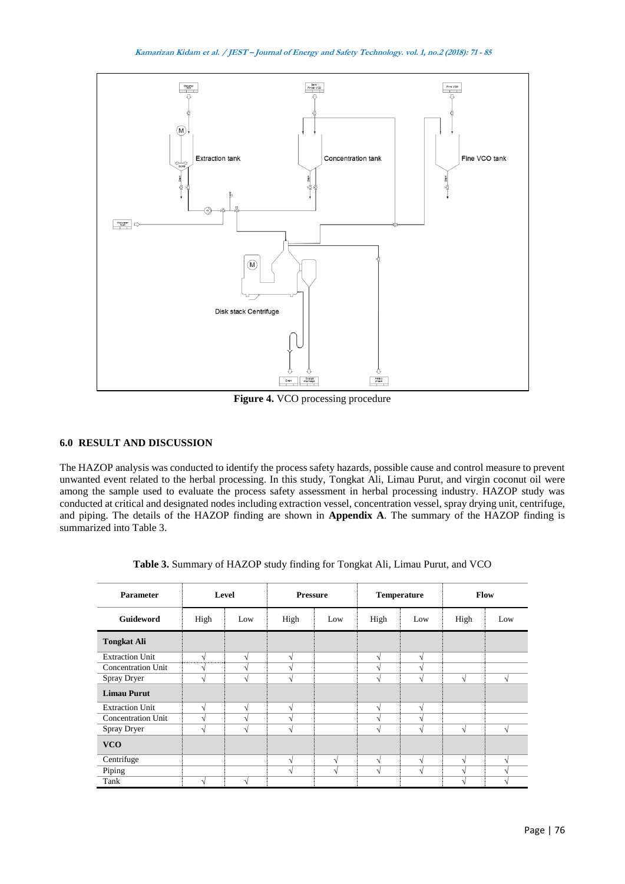

**Figure 4.** VCO processing procedure

# **6.0 RESULT AND DISCUSSION**

The HAZOP analysis was conducted to identify the process safety hazards, possible cause and control measure to prevent unwanted event related to the herbal processing. In this study, Tongkat Ali, Limau Purut, and virgin coconut oil were among the sample used to evaluate the process safety assessment in herbal processing industry. HAZOP study was conducted at critical and designated nodes including extraction vessel, concentration vessel, spray drying unit, centrifuge, and piping. The details of the HAZOP finding are shown in **Appendix A**. The summary of the HAZOP finding is summarized into Table 3.

| <b>Parameter</b>          |      | Level         | <b>Pressure</b>          |            | <b>Temperature</b> |               |            | Flow |
|---------------------------|------|---------------|--------------------------|------------|--------------------|---------------|------------|------|
| <b>Guideword</b>          | High | Low           | High                     | Low        | High               | Low           | High       | Low  |
| <b>Tongkat Ali</b>        |      |               |                          |            |                    |               |            |      |
| <b>Extraction Unit</b>    | V    | V             | N                        |            | V                  | V             |            |      |
| <b>Concentration Unit</b> | V    | $\mathcal{L}$ | ٦Ι                       |            | $\Delta$           | N             |            |      |
| Spray Dryer               | V    | $\sqrt{ }$    | N                        |            | $\mathcal{N}$      | $\sqrt{ }$    | $\sqrt{ }$ |      |
| <b>Limau Purut</b>        |      |               |                          |            |                    |               |            |      |
| <b>Extraction Unit</b>    | V    | $\mathcal{N}$ | $\mathcal{N}$            |            | $\sqrt{ }$         | $\sqrt{ }$    |            |      |
| <b>Concentration Unit</b> | V    | $\mathbf{v}$  | ٦                        |            | $\Delta$           | N             |            |      |
| Spray Dryer               | V    | $\mathcal{L}$ | $\overline{\phantom{a}}$ |            | $\mathcal{N}$      | $\mathcal{L}$ | N          |      |
| <b>VCO</b>                |      |               |                          |            |                    |               |            |      |
| Centrifuge                |      |               | N                        | $\sqrt{ }$ | $\sqrt{ }$         | V             | V          |      |
| Piping                    |      |               | N                        | $\sqrt{ }$ | $\sqrt{ }$         | $\sqrt{ }$    | N          |      |
| Tank                      |      |               |                          |            |                    |               | ٦Ι         |      |

| Table 3. Summary of HAZOP study finding for Tongkat Ali, Limau Purut, and VCO |  |  |  |
|-------------------------------------------------------------------------------|--|--|--|
|                                                                               |  |  |  |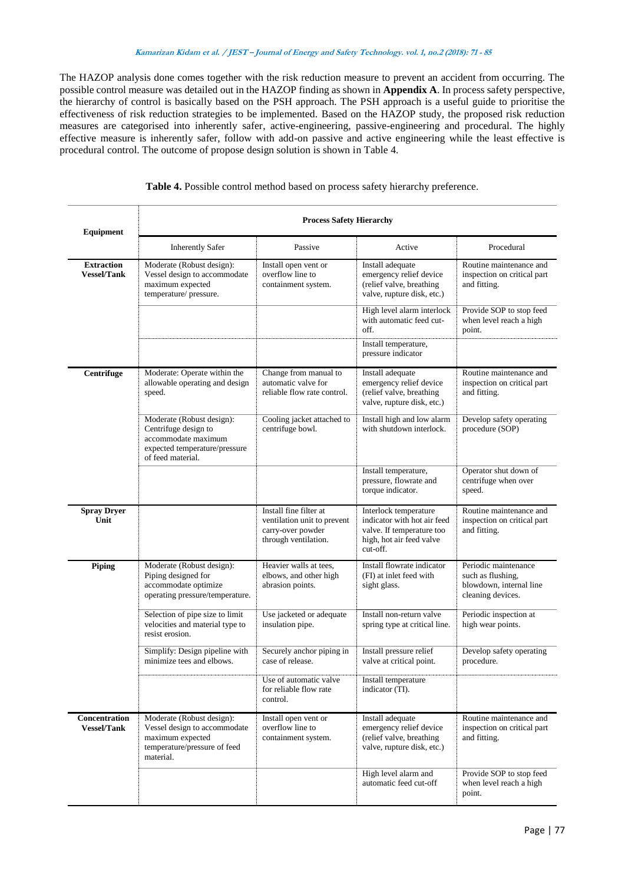The HAZOP analysis done comes together with the risk reduction measure to prevent an accident from occurring. The possible control measure was detailed out in the HAZOP finding as shown in **Appendix A**. In process safety perspective, the hierarchy of control is basically based on the PSH approach. The PSH approach is a useful guide to prioritise the effectiveness of risk reduction strategies to be implemented. Based on the HAZOP study, the proposed risk reduction measures are categorised into inherently safer, active-engineering, passive-engineering and procedural. The highly effective measure is inherently safer, follow with add-on passive and active engineering while the least effective is procedural control. The outcome of propose design solution is shown in Table 4.

| Equipment                               | <b>Process Safety Hierarchy</b>                                                                                                |                                                                                                    |                                                                                                                           |                                                                                           |  |  |
|-----------------------------------------|--------------------------------------------------------------------------------------------------------------------------------|----------------------------------------------------------------------------------------------------|---------------------------------------------------------------------------------------------------------------------------|-------------------------------------------------------------------------------------------|--|--|
|                                         | <b>Inherently Safer</b>                                                                                                        | Passive                                                                                            | Active                                                                                                                    | Procedural                                                                                |  |  |
| <b>Extraction</b><br><b>Vessel/Tank</b> | Moderate (Robust design):<br>Vessel design to accommodate<br>maximum expected<br>temperature/pressure.                         | Install open vent or<br>overflow line to<br>containment system.                                    | Install adequate<br>emergency relief device<br>(relief valve, breathing<br>valve, rupture disk, etc.)                     | Routine maintenance and<br>inspection on critical part<br>and fitting.                    |  |  |
|                                         |                                                                                                                                |                                                                                                    | High level alarm interlock<br>with automatic feed cut-<br>off.                                                            | Provide SOP to stop feed<br>when level reach a high<br>point.                             |  |  |
|                                         |                                                                                                                                |                                                                                                    | Install temperature,<br>pressure indicator                                                                                |                                                                                           |  |  |
| <b>Centrifuge</b>                       | Moderate: Operate within the<br>allowable operating and design<br>speed.                                                       | Change from manual to<br>automatic valve for<br>reliable flow rate control.                        | Install adequate<br>emergency relief device<br>(relief valve, breathing<br>valve, rupture disk, etc.)                     | Routine maintenance and<br>inspection on critical part<br>and fitting.                    |  |  |
|                                         | Moderate (Robust design):<br>Centrifuge design to<br>accommodate maximum<br>expected temperature/pressure<br>of feed material. | Cooling jacket attached to<br>centrifuge bowl.                                                     | Install high and low alarm<br>with shutdown interlock.                                                                    | Develop safety operating<br>procedure (SOP)                                               |  |  |
|                                         |                                                                                                                                |                                                                                                    | Install temperature,<br>pressure, flowrate and<br>torque indicator.                                                       | Operator shut down of<br>centrifuge when over<br>speed.                                   |  |  |
| <b>Spray Dryer</b><br>Unit              |                                                                                                                                | Install fine filter at<br>ventilation unit to prevent<br>carry-over powder<br>through ventilation. | Interlock temperature<br>indicator with hot air feed<br>valve. If temperature too<br>high, hot air feed valve<br>cut-off. | Routine maintenance and<br>inspection on critical part<br>and fitting.                    |  |  |
| Piping                                  | Moderate (Robust design):<br>Piping designed for<br>accommodate optimize<br>operating pressure/temperature.                    | Heavier walls at tees,<br>elbows, and other high<br>abrasion points.                               | Install flowrate indicator<br>(FI) at inlet feed with<br>sight glass.                                                     | Periodic maintenance<br>such as flushing,<br>blowdown, internal line<br>cleaning devices. |  |  |
|                                         | Selection of pipe size to limit<br>velocities and material type to<br>resist erosion.                                          | Use jacketed or adequate<br>insulation pipe.                                                       | Install non-return valve<br>spring type at critical line.                                                                 | Periodic inspection at<br>high wear points.                                               |  |  |
|                                         | Simplify: Design pipeline with<br>minimize tees and elbows.                                                                    | Securely anchor piping in<br>case of release.                                                      | Install pressure relief<br>valve at critical point.                                                                       | Develop safety operating<br>procedure.                                                    |  |  |
|                                         |                                                                                                                                | Use of automatic valve<br>for reliable flow rate<br>control.                                       | Install temperature<br>indicator (TI).                                                                                    |                                                                                           |  |  |
| Concentration<br><b>Vessel/Tank</b>     | Moderate (Robust design):<br>Vessel design to accommodate<br>maximum expected<br>temperature/pressure of feed<br>material.     | Install open vent or<br>overflow line to<br>containment system.                                    | Install adequate<br>emergency relief device<br>(relief valve, breathing<br>valve, rupture disk, etc.)                     | Routine maintenance and<br>inspection on critical part<br>and fitting.                    |  |  |
|                                         |                                                                                                                                |                                                                                                    | High level alarm and<br>automatic feed cut-off                                                                            | Provide SOP to stop feed<br>when level reach a high<br>point.                             |  |  |

**Table 4.** Possible control method based on process safety hierarchy preference.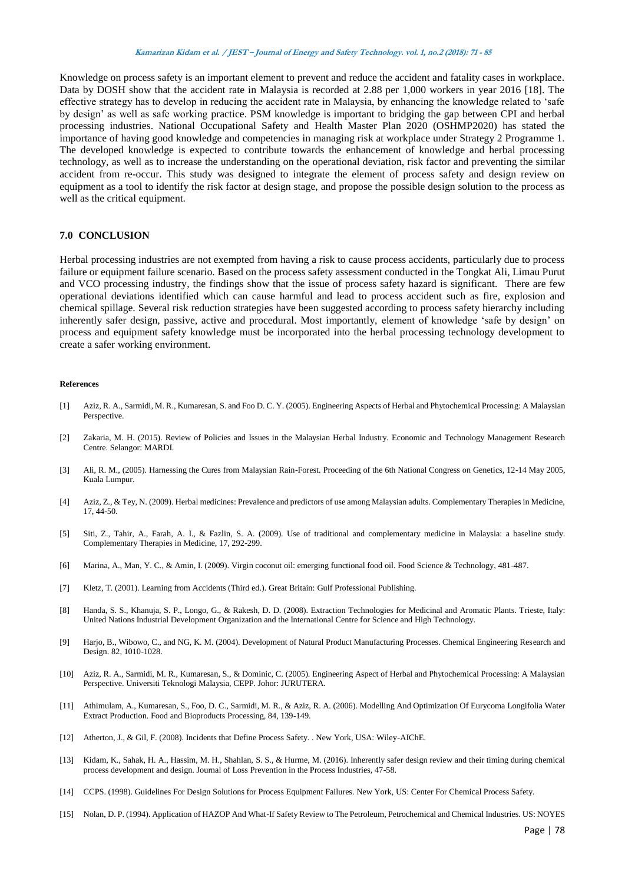Knowledge on process safety is an important element to prevent and reduce the accident and fatality cases in workplace. Data by DOSH show that the accident rate in Malaysia is recorded at 2.88 per 1,000 workers in year 2016 [18]. The effective strategy has to develop in reducing the accident rate in Malaysia, by enhancing the knowledge related to 'safe by design' as well as safe working practice. PSM knowledge is important to bridging the gap between CPI and herbal processing industries. National Occupational Safety and Health Master Plan 2020 (OSHMP2020) has stated the importance of having good knowledge and competencies in managing risk at workplace under Strategy 2 Programme 1. The developed knowledge is expected to contribute towards the enhancement of knowledge and herbal processing technology, as well as to increase the understanding on the operational deviation, risk factor and preventing the similar accident from re-occur. This study was designed to integrate the element of process safety and design review on equipment as a tool to identify the risk factor at design stage, and propose the possible design solution to the process as well as the critical equipment.

### **7.0 CONCLUSION**

Herbal processing industries are not exempted from having a risk to cause process accidents, particularly due to process failure or equipment failure scenario. Based on the process safety assessment conducted in the Tongkat Ali, Limau Purut and VCO processing industry, the findings show that the issue of process safety hazard is significant. There are few operational deviations identified which can cause harmful and lead to process accident such as fire, explosion and chemical spillage. Several risk reduction strategies have been suggested according to process safety hierarchy including inherently safer design, passive, active and procedural. Most importantly, element of knowledge 'safe by design' on process and equipment safety knowledge must be incorporated into the herbal processing technology development to create a safer working environment.

#### **References**

- [1] Aziz, R. A., Sarmidi, M. R., Kumaresan, S. and Foo D. C. Y. (2005). Engineering Aspects of Herbal and Phytochemical Processing: A Malaysian Perspective.
- [2] Zakaria, M. H. (2015). Review of Policies and Issues in the Malaysian Herbal Industry. Economic and Technology Management Research Centre. Selangor: MARDI.
- [3] Ali, R. M., (2005). Harnessing the Cures from Malaysian Rain-Forest. Proceeding of the 6th National Congress on Genetics, 12-14 May 2005, Kuala Lumpur.
- [4] Aziz, Z., & Tey, N. (2009). Herbal medicines: Prevalence and predictors of use among Malaysian adults. Complementary Therapies in Medicine, 17, 44-50.
- [5] Siti, Z., Tahir, A., Farah, A. I., & Fazlin, S. A. (2009). Use of traditional and complementary medicine in Malaysia: a baseline study. Complementary Therapies in Medicine, 17, 292-299.
- [6] Marina, A., Man, Y. C., & Amin, I. (2009). Virgin coconut oil: emerging functional food oil. Food Science & Technology, 481-487.
- [7] Kletz, T. (2001). Learning from Accidents (Third ed.). Great Britain: Gulf Professional Publishing.
- [8] Handa, S. S., Khanuja, S. P., Longo, G., & Rakesh, D. D. (2008). Extraction Technologies for Medicinal and Aromatic Plants. Trieste, Italy: United Nations Industrial Development Organization and the International Centre for Science and High Technology.
- [9] Harjo, B., Wibowo, C., and NG, K. M. (2004). Development of Natural Product Manufacturing Processes. Chemical Engineering Research and Design. 82, 1010-1028.
- [10] Aziz, R. A., Sarmidi, M. R., Kumaresan, S., & Dominic, C. (2005). Engineering Aspect of Herbal and Phytochemical Processing: A Malaysian Perspective. Universiti Teknologi Malaysia, CEPP. Johor: JURUTERA.
- [11] Athimulam, A., Kumaresan, S., Foo, D. C., Sarmidi, M. R., & Aziz, R. A. (2006). Modelling And Optimization Of Eurycoma Longifolia Water Extract Production. Food and Bioproducts Processing, 84, 139-149.
- [12] Atherton, J., & Gil, F. (2008). Incidents that Define Process Safety. . New York, USA: Wiley-AIChE.
- [13] Kidam, K., Sahak, H. A., Hassim, M. H., Shahlan, S. S., & Hurme, M. (2016). Inherently safer design review and their timing during chemical process development and design. Journal of Loss Prevention in the Process Industries, 47-58.
- [14] CCPS. (1998). Guidelines For Design Solutions for Process Equipment Failures. New York, US: Center For Chemical Process Safety.
- [15] Nolan, D. P. (1994). Application of HAZOP And What-If Safety Review to The Petroleum, Petrochemical and Chemical Industries. US: NOYES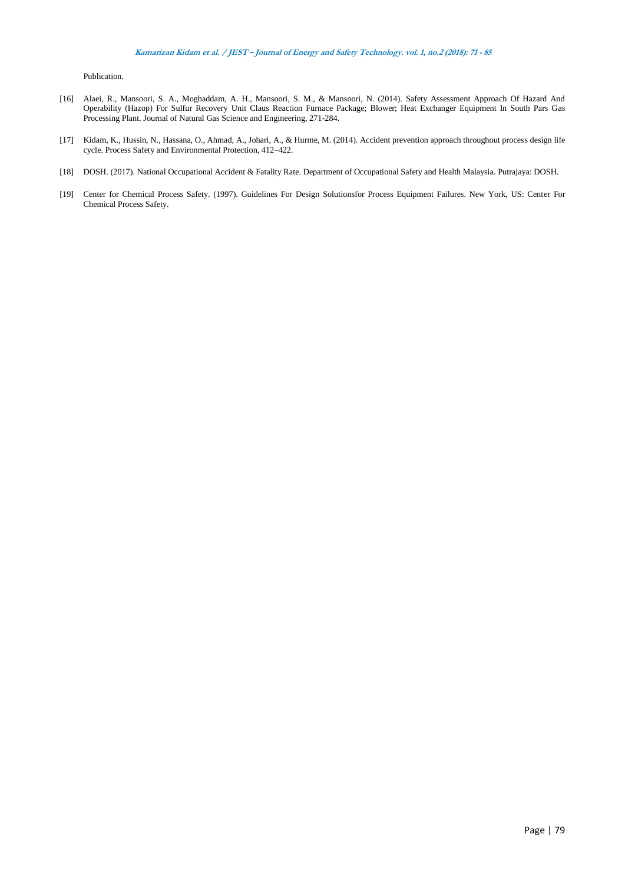Publication.

- [16] Alaei, R., Mansoori, S. A., Moghaddam, A. H., Mansoori, S. M., & Mansoori, N. (2014). Safety Assessment Approach Of Hazard And Operability (Hazop) For Sulfur Recovery Unit Claus Reaction Furnace Package; Blower; Heat Exchanger Equipment In South Pars Gas Processing Plant. Journal of Natural Gas Science and Engineering, 271-284.
- [17] Kidam, K., Hussin, N., Hassana, O., Ahmad, A., Johari, A., & Hurme, M. (2014). Accident prevention approach throughout process design life cycle. Process Safety and Environmental Protection, 412–422.
- [18] DOSH. (2017). National Occupational Accident & Fatality Rate. Department of Occupational Safety and Health Malaysia. Putrajaya: DOSH.
- [19] Center for Chemical Process Safety. (1997). Guidelines For Design Solutionsfor Process Equipment Failures. New York, US: Center For Chemical Process Safety.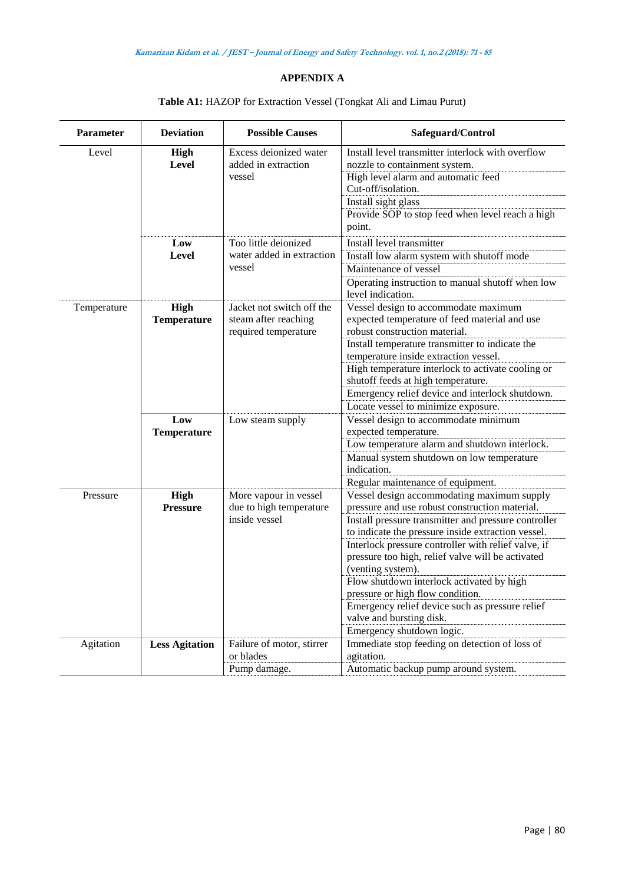# **APPENDIX A**

| <b>Parameter</b> | <b>Deviation</b>                  | <b>Possible Causes</b>                                                    | Safeguard/Control                                                                                                                                                                                                                                                                                                                                                                                                                                                                                                                        |
|------------------|-----------------------------------|---------------------------------------------------------------------------|------------------------------------------------------------------------------------------------------------------------------------------------------------------------------------------------------------------------------------------------------------------------------------------------------------------------------------------------------------------------------------------------------------------------------------------------------------------------------------------------------------------------------------------|
| Level            | High<br>Level                     | Excess deionized water<br>added in extraction<br>vessel                   | Install level transmitter interlock with overflow<br>nozzle to containment system.<br>High level alarm and automatic feed<br>Cut-off/isolation.<br>Install sight glass<br>Provide SOP to stop feed when level reach a high<br>point.                                                                                                                                                                                                                                                                                                     |
|                  | Low<br>Level                      | Too little deionized<br>water added in extraction<br>vessel               | Install level transmitter<br>Install low alarm system with shutoff mode<br>Maintenance of vessel<br>Operating instruction to manual shutoff when low<br>level indication.                                                                                                                                                                                                                                                                                                                                                                |
| Temperature      | <b>High</b><br><b>Temperature</b> | Jacket not switch off the<br>steam after reaching<br>required temperature | Vessel design to accommodate maximum<br>expected temperature of feed material and use<br>robust construction material.<br>Install temperature transmitter to indicate the<br>temperature inside extraction vessel.<br>High temperature interlock to activate cooling or<br>shutoff feeds at high temperature.<br>Emergency relief device and interlock shutdown.<br>Locate vessel to minimize exposure.                                                                                                                                  |
|                  | Low<br><b>Temperature</b>         | Low steam supply                                                          | Vessel design to accommodate minimum<br>expected temperature.<br>Low temperature alarm and shutdown interlock.<br>Manual system shutdown on low temperature<br>indication.<br>Regular maintenance of equipment.                                                                                                                                                                                                                                                                                                                          |
| Pressure         | High<br><b>Pressure</b>           | More vapour in vessel<br>due to high temperature<br>inside vessel         | Vessel design accommodating maximum supply<br>pressure and use robust construction material.<br>Install pressure transmitter and pressure controller<br>to indicate the pressure inside extraction vessel.<br>Interlock pressure controller with relief valve, if<br>pressure too high, relief valve will be activated<br>(venting system).<br>Flow shutdown interlock activated by high<br>pressure or high flow condition.<br>Emergency relief device such as pressure relief<br>valve and bursting disk.<br>Emergency shutdown logic. |
| Agitation        | <b>Less Agitation</b>             | Failure of motor, stirrer<br>or blades<br>Pump damage.                    | Immediate stop feeding on detection of loss of<br>agitation.<br>Automatic backup pump around system.                                                                                                                                                                                                                                                                                                                                                                                                                                     |

# **Table A1:** HAZOP for Extraction Vessel (Tongkat Ali and Limau Purut)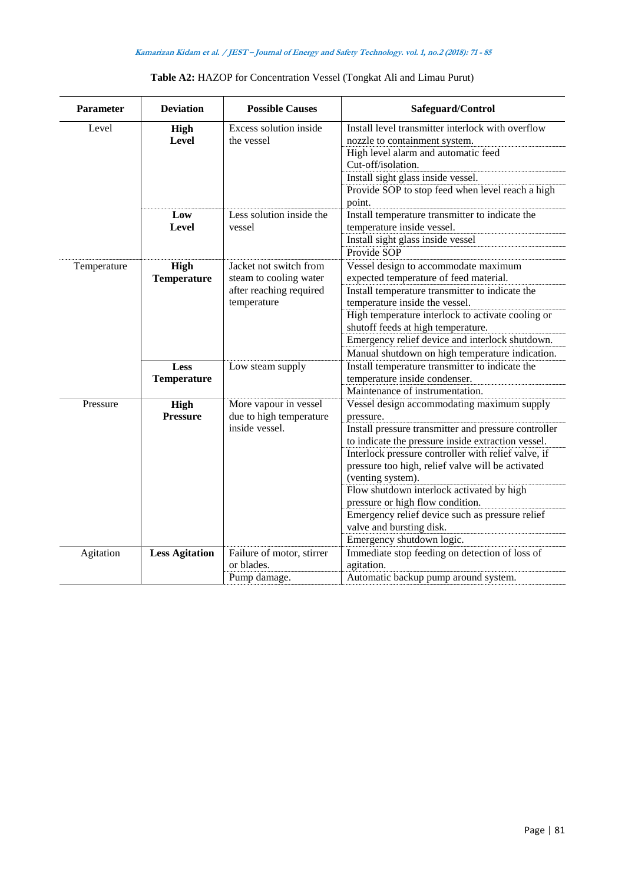| Parameter   | <b>Deviation</b>      | <b>Possible Causes</b>               | Safeguard/Control                                                                  |
|-------------|-----------------------|--------------------------------------|------------------------------------------------------------------------------------|
| Level       | High<br>Level         | Excess solution inside<br>the vessel | Install level transmitter interlock with overflow<br>nozzle to containment system. |
|             |                       |                                      | High level alarm and automatic feed<br>Cut-off/isolation.                          |
|             |                       |                                      | Install sight glass inside vessel.                                                 |
|             |                       |                                      | Provide SOP to stop feed when level reach a high<br>point.                         |
|             | Low<br>Level          | Less solution inside the<br>vessel   | Install temperature transmitter to indicate the<br>temperature inside vessel.      |
|             |                       |                                      | Install sight glass inside vessel                                                  |
|             |                       |                                      | Provide SOP                                                                        |
| Temperature | <b>High</b>           | Jacket not switch from               | Vessel design to accommodate maximum                                               |
|             | <b>Temperature</b>    | steam to cooling water               | expected temperature of feed material.                                             |
|             |                       | after reaching required              | Install temperature transmitter to indicate the<br>temperature inside the vessel.  |
|             |                       | temperature                          | High temperature interlock to activate cooling or                                  |
|             |                       |                                      | shutoff feeds at high temperature.                                                 |
|             |                       |                                      | Emergency relief device and interlock shutdown.                                    |
|             |                       |                                      | Manual shutdown on high temperature indication.                                    |
|             | Less                  | Low steam supply                     | Install temperature transmitter to indicate the                                    |
|             | <b>Temperature</b>    |                                      | temperature inside condenser.                                                      |
|             |                       |                                      | Maintenance of instrumentation.                                                    |
| Pressure    | <b>High</b>           | More vapour in vessel                | Vessel design accommodating maximum supply                                         |
|             | <b>Pressure</b>       | due to high temperature              | pressure.                                                                          |
|             |                       | inside vessel.                       | Install pressure transmitter and pressure controller                               |
|             |                       |                                      | to indicate the pressure inside extraction vessel.                                 |
|             |                       |                                      | Interlock pressure controller with relief valve, if                                |
|             |                       |                                      | pressure too high, relief valve will be activated                                  |
|             |                       |                                      | (venting system).                                                                  |
|             |                       |                                      | Flow shutdown interlock activated by high                                          |
|             |                       |                                      | pressure or high flow condition.                                                   |
|             |                       |                                      | Emergency relief device such as pressure relief                                    |
|             |                       |                                      | valve and bursting disk.                                                           |
|             |                       |                                      | Emergency shutdown logic.                                                          |
| Agitation   | <b>Less Agitation</b> | Failure of motor, stirrer            | Immediate stop feeding on detection of loss of                                     |
|             |                       | or blades.                           | agitation.                                                                         |
|             |                       | Pump damage.                         | Automatic backup pump around system.                                               |

# **Table A2:** HAZOP for Concentration Vessel (Tongkat Ali and Limau Purut)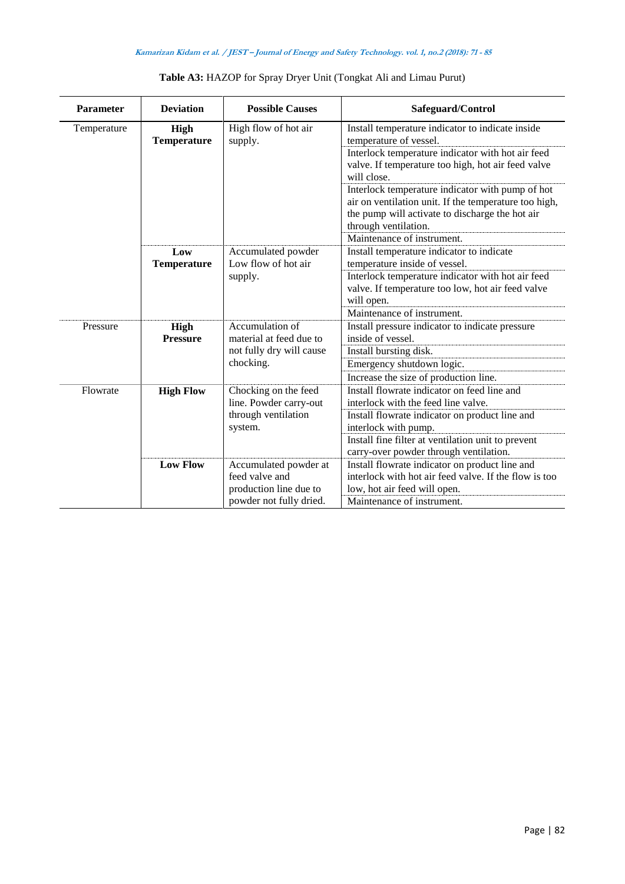| <b>Parameter</b> | <b>Deviation</b>           | <b>Possible Causes</b>                              | Safeguard/Control                                                                                                                                                                    |
|------------------|----------------------------|-----------------------------------------------------|--------------------------------------------------------------------------------------------------------------------------------------------------------------------------------------|
| Temperature      | High<br><b>Temperature</b> | High flow of hot air<br>supply.                     | Install temperature indicator to indicate inside<br>temperature of vessel.                                                                                                           |
|                  |                            |                                                     | Interlock temperature indicator with hot air feed<br>valve. If temperature too high, hot air feed valve<br>will close.                                                               |
|                  |                            |                                                     | Interlock temperature indicator with pump of hot<br>air on ventilation unit. If the temperature too high,<br>the pump will activate to discharge the hot air<br>through ventilation. |
|                  | Low                        | Accumulated powder<br>Low flow of hot air           | Maintenance of instrument.<br>Install temperature indicator to indicate<br>temperature inside of vessel.                                                                             |
|                  | <b>Temperature</b>         | supply.                                             | Interlock temperature indicator with hot air feed<br>valve. If temperature too low, hot air feed valve<br>will open.                                                                 |
|                  |                            |                                                     | Maintenance of instrument.                                                                                                                                                           |
| Pressure         | High                       | Accumulation of                                     | Install pressure indicator to indicate pressure                                                                                                                                      |
|                  | <b>Pressure</b>            | material at feed due to<br>not fully dry will cause | inside of vessel.                                                                                                                                                                    |
|                  |                            |                                                     | Install bursting disk.                                                                                                                                                               |
|                  |                            | chocking.                                           | Emergency shutdown logic.                                                                                                                                                            |
|                  |                            |                                                     | Increase the size of production line.                                                                                                                                                |
| Flowrate         | <b>High Flow</b>           | Chocking on the feed                                | Install flowrate indicator on feed line and                                                                                                                                          |
|                  |                            | line. Powder carry-out                              | interlock with the feed line valve.                                                                                                                                                  |
|                  |                            | through ventilation                                 | Install flowrate indicator on product line and                                                                                                                                       |
|                  |                            | system.                                             | interlock with pump.                                                                                                                                                                 |
|                  |                            |                                                     | Install fine filter at ventilation unit to prevent<br>carry-over powder through ventilation.                                                                                         |
|                  | <b>Low Flow</b>            | Accumulated powder at                               | Install flowrate indicator on product line and                                                                                                                                       |
|                  |                            | feed valve and                                      | interlock with hot air feed valve. If the flow is too                                                                                                                                |
|                  |                            | production line due to                              | low, hot air feed will open.                                                                                                                                                         |
|                  |                            | powder not fully dried.                             | Maintenance of instrument.                                                                                                                                                           |

# **Table A3:** HAZOP for Spray Dryer Unit (Tongkat Ali and Limau Purut)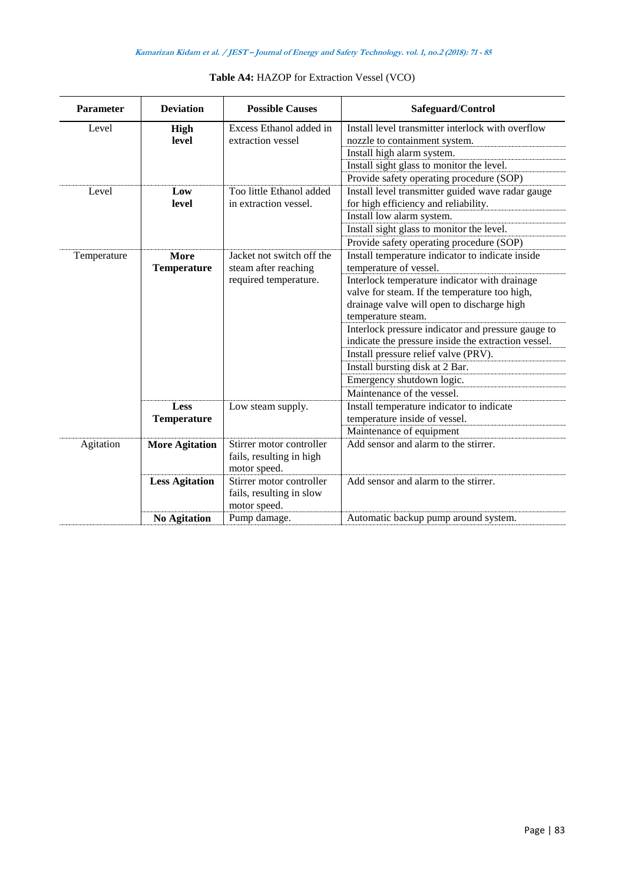| <b>Parameter</b> | <b>Deviation</b>           | <b>Possible Causes</b>                                                     | Safeguard/Control                                                                                                                                                                                                                                                                                                                                                                                                                                                                                   |
|------------------|----------------------------|----------------------------------------------------------------------------|-----------------------------------------------------------------------------------------------------------------------------------------------------------------------------------------------------------------------------------------------------------------------------------------------------------------------------------------------------------------------------------------------------------------------------------------------------------------------------------------------------|
| Level            | <b>High</b><br>level       | Excess Ethanol added in<br>extraction vessel<br>Too little Ethanol added   | Install level transmitter interlock with overflow<br>nozzle to containment system.<br>Install high alarm system.<br>Install sight glass to monitor the level.<br>Provide safety operating procedure (SOP)                                                                                                                                                                                                                                                                                           |
| Level            | Low<br>level               | in extraction vessel.                                                      | Install level transmitter guided wave radar gauge<br>for high efficiency and reliability.<br>Install low alarm system.<br>Install sight glass to monitor the level.<br>Provide safety operating procedure (SOP)                                                                                                                                                                                                                                                                                     |
| Temperature      | More<br><b>Temperature</b> | Jacket not switch off the<br>steam after reaching<br>required temperature. | Install temperature indicator to indicate inside<br>temperature of vessel.<br>Interlock temperature indicator with drainage<br>valve for steam. If the temperature too high,<br>drainage valve will open to discharge high<br>temperature steam.<br>Interlock pressure indicator and pressure gauge to<br>indicate the pressure inside the extraction vessel.<br>Install pressure relief valve (PRV).<br>Install bursting disk at 2 Bar.<br>Emergency shutdown logic.<br>Maintenance of the vessel. |
|                  | Less<br><b>Temperature</b> | Low steam supply.                                                          | Install temperature indicator to indicate<br>temperature inside of vessel.<br>Maintenance of equipment                                                                                                                                                                                                                                                                                                                                                                                              |
| Agitation        | <b>More Agitation</b>      | Stirrer motor controller<br>fails, resulting in high<br>motor speed.       | Add sensor and alarm to the stirrer.                                                                                                                                                                                                                                                                                                                                                                                                                                                                |
|                  | <b>Less Agitation</b>      | Stirrer motor controller<br>fails, resulting in slow<br>motor speed.       | Add sensor and alarm to the stirrer.                                                                                                                                                                                                                                                                                                                                                                                                                                                                |
|                  | <b>No Agitation</b>        | Pump damage.                                                               | Automatic backup pump around system.                                                                                                                                                                                                                                                                                                                                                                                                                                                                |

# **Table A4:** HAZOP for Extraction Vessel (VCO)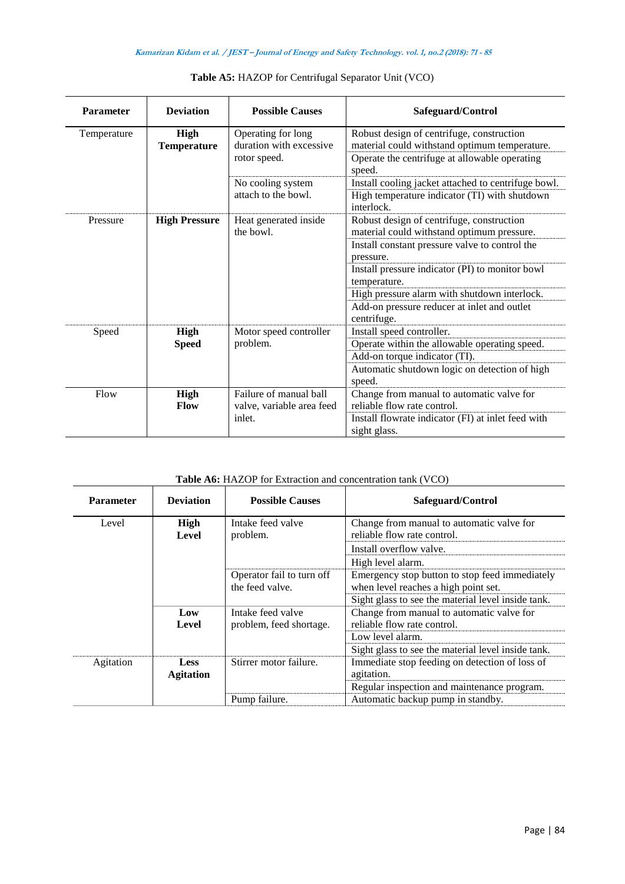| <b>Parameter</b> | <b>Deviation</b>                  | <b>Possible Causes</b>                                        | Safeguard/Control                                                                                                                                                                                                                                                                                                                       |
|------------------|-----------------------------------|---------------------------------------------------------------|-----------------------------------------------------------------------------------------------------------------------------------------------------------------------------------------------------------------------------------------------------------------------------------------------------------------------------------------|
| Temperature      | <b>High</b><br><b>Temperature</b> | Operating for long<br>duration with excessive<br>rotor speed. | Robust design of centrifuge, construction<br>material could withstand optimum temperature.<br>Operate the centrifuge at allowable operating<br>speed.                                                                                                                                                                                   |
|                  |                                   | No cooling system<br>attach to the bowl.                      | Install cooling jacket attached to centrifuge bowl.<br>High temperature indicator (TI) with shutdown<br>interlock.                                                                                                                                                                                                                      |
| Pressure         | <b>High Pressure</b>              | Heat generated inside<br>the bowl.                            | Robust design of centrifuge, construction<br>material could withstand optimum pressure.<br>Install constant pressure valve to control the<br>pressure.<br>Install pressure indicator (PI) to monitor bowl<br>temperature.<br>High pressure alarm with shutdown interlock.<br>Add-on pressure reducer at inlet and outlet<br>centrifuge. |
| Speed            | <b>High</b><br><b>Speed</b>       | Motor speed controller<br>problem.                            | Install speed controller.<br>Operate within the allowable operating speed.<br>Add-on torque indicator (TI).<br>Automatic shutdown logic on detection of high<br>speed.                                                                                                                                                                  |
| Flow             | <b>High</b><br><b>Flow</b>        | Failure of manual ball<br>valve, variable area feed<br>inlet. | Change from manual to automatic valve for<br>reliable flow rate control.<br>Install flowrate indicator (FI) at inlet feed with<br>sight glass.                                                                                                                                                                                          |

| Table A6: HAZOP for Extraction and concentration tank (VCO) |  |
|-------------------------------------------------------------|--|
|                                                             |  |

| <b>Parameter</b> | <b>Deviation</b>                | <b>Possible Causes</b>                       | Safeguard/Control                                                                      |
|------------------|---------------------------------|----------------------------------------------|----------------------------------------------------------------------------------------|
| Level            | High<br>Level                   | Intake feed valve<br>problem.                | Change from manual to automatic valve for<br>reliable flow rate control.               |
|                  |                                 |                                              | Install overflow valve.                                                                |
|                  |                                 |                                              | High level alarm.                                                                      |
|                  |                                 | Operator fail to turn off<br>the feed valve. | Emergency stop button to stop feed immediately<br>when level reaches a high point set. |
|                  |                                 |                                              | Sight glass to see the material level inside tank.                                     |
|                  | Low<br>Level                    | Intake feed valve<br>problem, feed shortage. | Change from manual to automatic valve for<br>reliable flow rate control.               |
|                  |                                 |                                              | Low level alarm.                                                                       |
|                  |                                 |                                              | Sight glass to see the material level inside tank.                                     |
| Agitation        | <b>Less</b><br><b>Agitation</b> | Stirrer motor failure.                       | Immediate stop feeding on detection of loss of<br>agitation.                           |
|                  |                                 |                                              | Regular inspection and maintenance program.                                            |
|                  |                                 | Pump failure.                                | Automatic backup pump in standby.                                                      |